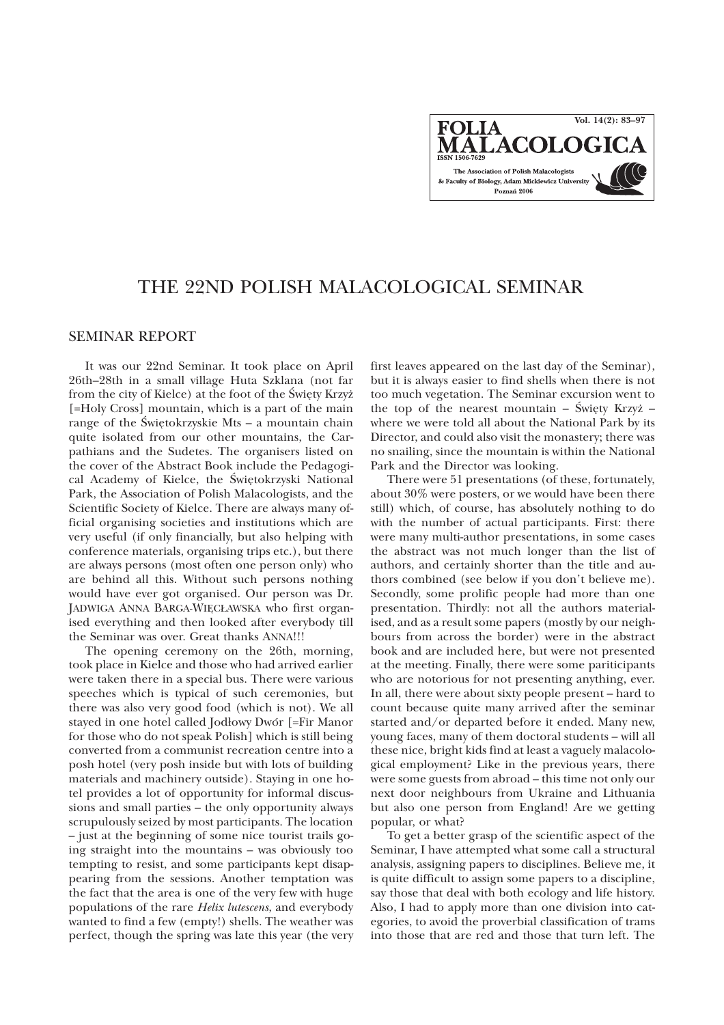**Vol. 14(2): 83–97FOLIA IALACOLOC** The Association of Polish Malacologists & Faculty of Biology, Adam Mickiewicz University Poznań 2006

# THE 22ND POLISH MALACOLOGICAL SEMINAR

# SEMINAR REPORT

It was our 22nd Seminar. It took place on April 26th–28th in a small village Huta Szklana (not far from the city of Kielce) at the foot of the Święty Krzyż [=Holy Cross] mountain, which is a part of the main range of the Świętokrzyskie Mts – a mountain chain quite isolated from our other mountains, the Carpathians and the Sudetes. The organisers listed on the cover of the Abstract Book include the Pedagogical Academy of Kielce, the Świętokrzyski National Park, the Association of Polish Malacologists, and the Scientific Society of Kielce. There are always many official organising societies and institutions which are very useful (if only financially, but also helping with conference materials, organising trips etc.), but there are always persons (most often one person only) who are behind all this. Without such persons nothing would have ever got organised. Our person was Dr. JADWIGA ANNA BARGA-WIÊC£AWSKA who first organised everything and then looked after everybody till the Seminar was over. Great thanks ANNA!!!

The opening ceremony on the 26th, morning, took place in Kielce and those who had arrived earlier were taken there in a special bus. There were various speeches which is typical of such ceremonies, but there was also very good food (which is not). We all stayed in one hotel called Jodłowy Dwór [=Fir Manor for those who do not speak Polish] which is still being converted from a communist recreation centre into a posh hotel (very posh inside but with lots of building materials and machinery outside). Staying in one hotel provides a lot of opportunity for informal discussions and small parties – the only opportunity always scrupulously seized by most participants. The location – just at the beginning of some nice tourist trails going straight into the mountains – was obviously too tempting to resist, and some participants kept disappearing from the sessions. Another temptation was the fact that the area is one of the very few with huge populations of the rare *Helix lutescens*, and everybody wanted to find a few (empty!) shells. The weather was perfect, though the spring was late this year (the very

first leaves appeared on the last day of the Seminar), but it is always easier to find shells when there is not too much vegetation. The Seminar excursion went to the top of the nearest mountain – Święty Krzyż – where we were told all about the National Park by its Director, and could also visit the monastery; there was no snailing, since the mountain is within the National Park and the Director was looking.

There were 51 presentations (of these, fortunately, about 30% were posters, or we would have been there still) which, of course, has absolutely nothing to do with the number of actual participants. First: there were many multi-author presentations, in some cases the abstract was not much longer than the list of authors, and certainly shorter than the title and authors combined (see below if you don't believe me). Secondly, some prolific people had more than one presentation. Thirdly: not all the authors materialised, and as a result some papers (mostly by our neighbours from across the border) were in the abstract book and are included here, but were not presented at the meeting. Finally, there were some pariticipants who are notorious for not presenting anything, ever. In all, there were about sixty people present – hard to count because quite many arrived after the seminar started and/or departed before it ended. Many new, young faces, many of them doctoral students – will all these nice, bright kids find at least a vaguely malacological employment? Like in the previous years, there were some guests from abroad – this time not only our next door neighbours from Ukraine and Lithuania but also one person from England! Are we getting popular, or what?

To get a better grasp of the scientific aspect of the Seminar, I have attempted what some call a structural analysis, assigning papers to disciplines. Believe me, it is quite difficult to assign some papers to a discipline, say those that deal with both ecology and life history. Also, I had to apply more than one division into categories, to avoid the proverbial classification of trams into those that are red and those that turn left. The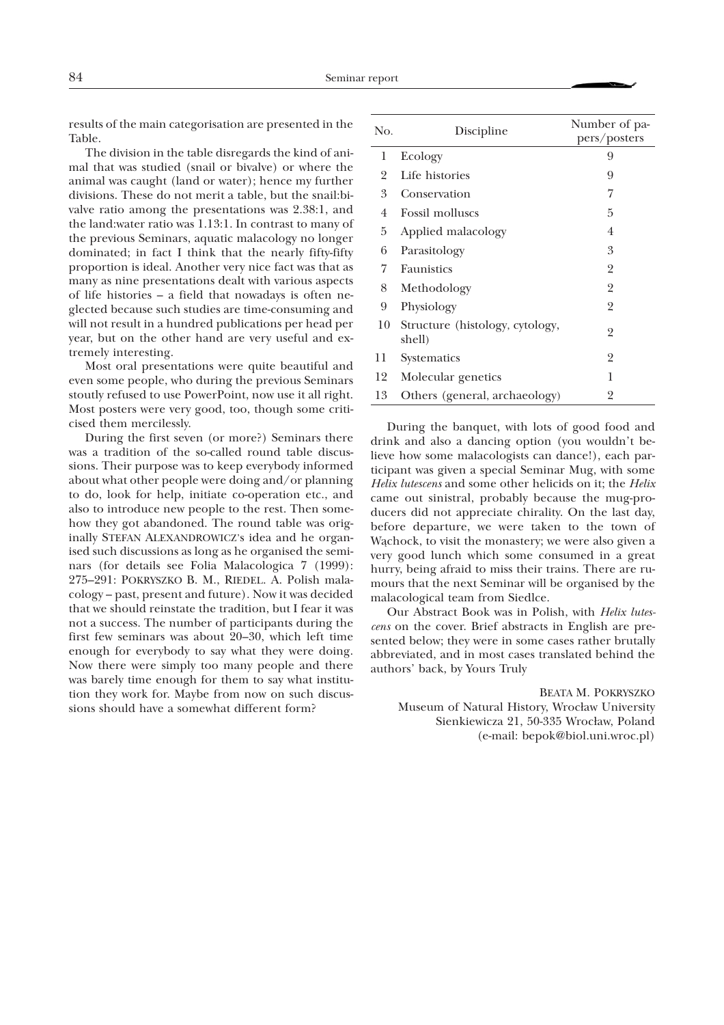results of the main categorisation are presented in the Table.

The division in the table disregards the kind of animal that was studied (snail or bivalve) or where the animal was caught (land or water); hence my further divisions. These do not merit a table, but the snail:bivalve ratio among the presentations was 2.38:1, and the land:water ratio was 1.13:1. In contrast to many of the previous Seminars, aquatic malacology no longer dominated; in fact I think that the nearly fifty-fifty proportion is ideal. Another very nice fact was that as many as nine presentations dealt with various aspects of life histories – a field that nowadays is often neglected because such studies are time-consuming and will not result in a hundred publications per head per year, but on the other hand are very useful and extremely interesting.

Most oral presentations were quite beautiful and even some people, who during the previous Seminars stoutly refused to use PowerPoint, now use it all right. Most posters were very good, too, though some criticised them mercilessly.

During the first seven (or more?) Seminars there was a tradition of the so-called round table discussions. Their purpose was to keep everybody informed about what other people were doing and/or planning to do, look for help, initiate co-operation etc., and also to introduce new people to the rest. Then somehow they got abandoned. The round table was originally STEFAN ALEXANDROWICZ's idea and he organised such discussions as long as he organised the seminars (for details see Folia Malacologica 7 (1999): 275–291: POKRYSZKO B. M., RIEDEL. A. Polish malacology – past, present and future). Now it was decided that we should reinstate the tradition, but I fear it was not a success. The number of participants during the first few seminars was about 20–30, which left time enough for everybody to say what they were doing. Now there were simply too many people and there was barely time enough for them to say what institution they work for. Maybe from now on such discussions should have a somewhat different form?

| No. | Discipline                                | Number of pa-<br>pers/posters |
|-----|-------------------------------------------|-------------------------------|
| 1   | Ecology                                   | 9                             |
| 2   | Life histories                            | 9                             |
| 3   | Conservation                              | 7                             |
| 4   | <b>Fossil molluscs</b>                    | 5                             |
| 5   | Applied malacology                        | $\overline{4}$                |
| 6   | Parasitology                              | 3                             |
| 7   | Faunistics                                | $\overline{2}$                |
| 8   | Methodology                               | 2                             |
| 9   | Physiology                                | $\overline{2}$                |
| 10  | Structure (histology, cytology,<br>shell) | 2                             |
| 11  | Systematics                               | 2                             |
| 12  | Molecular genetics                        | 1                             |
| 13  | Others (general, archaeology)             | 2                             |

During the banquet, with lots of good food and drink and also a dancing option (you wouldn't believe how some malacologists can dance!), each participant was given a special Seminar Mug, with some *Helix lutescens* and some other helicids on it; the *Helix* came out sinistral, probably because the mug-producers did not appreciate chirality. On the last day, before departure, we were taken to the town of Wąchock, to visit the monastery; we were also given a very good lunch which some consumed in a great hurry, being afraid to miss their trains. There are rumours that the next Seminar will be organised by the malacological team from Siedlce.

Our Abstract Book was in Polish, with *Helix lutescens* on the cover. Brief abstracts in English are presented below; they were in some cases rather brutally abbreviated, and in most cases translated behind the authors' back, by Yours Truly

BEATA M. POKRYSZKO Museum of Natural History, Wrocław University Sienkiewicza 21, 50-335 Wrocław, Poland (e-mail: bepok@biol.uni.wroc.pl)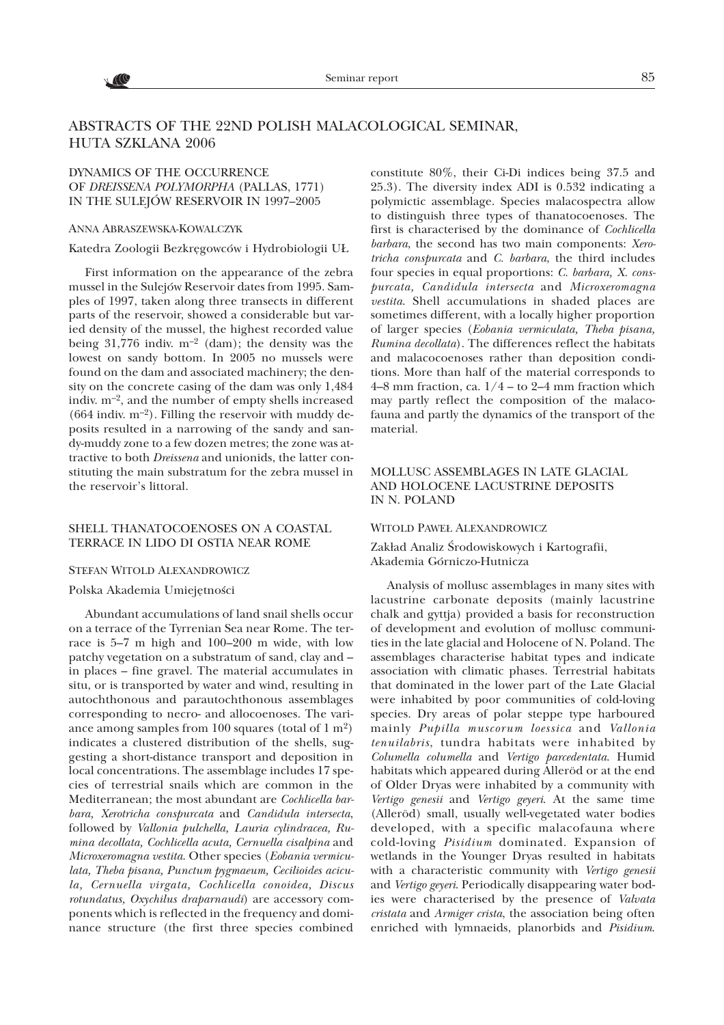

# ABSTRACTS OF THE 22ND POLISH MALACOLOGICAL SEMINAR, HUTA SZKLANA 2006

# DYNAMICS OF THE OCCURRENCE OF *DREISSENA POLYMORPHA* (PALLAS, 1771) IN THE SULEJÓW RESERVOIR IN 1997–2005

#### ANNA ABRASZEWSKA-KOWALCZYK

Katedra Zoologii Bezkrêgowców i Hydrobiologii U£

First information on the appearance of the zebra mussel in the Sulejów Reservoir dates from 1995. Samples of 1997, taken along three transects in different parts of the reservoir, showed a considerable but varied density of the mussel, the highest recorded value being 31,776 indiv.  $m^{-2}$  (dam); the density was the lowest on sandy bottom. In 2005 no mussels were found on the dam and associated machinery; the density on the concrete casing of the dam was only 1,484 indiv. m–2, and the number of empty shells increased (664 indiv.  $m^{-2}$ ). Filling the reservoir with muddy deposits resulted in a narrowing of the sandy and sandy-muddy zone to a few dozen metres; the zone was attractive to both *Dreissena* and unionids, the latter constituting the main substratum for the zebra mussel in the reservoir's littoral.

#### SHELL THANATOCOENOSES ON A COASTAL TERRACE IN LIDO DI OSTIA NEAR ROME

#### STEFAN WITOLD ALEXANDROWICZ

### Polska Akademia Umiejętności

Abundant accumulations of land snail shells occur on a terrace of the Tyrrenian Sea near Rome. The terrace is 5–7 m high and 100–200 m wide, with low patchy vegetation on a substratum of sand, clay and – in places – fine gravel. The material accumulates in situ, or is transported by water and wind, resulting in autochthonous and parautochthonous assemblages corresponding to necro- and allocoenoses. The variance among samples from 100 squares (total of  $1 \text{ m}^2$ ) indicates a clustered distribution of the shells, suggesting a short-distance transport and deposition in local concentrations. The assemblage includes 17 species of terrestrial snails which are common in the Mediterranean; the most abundant are *Cochlicella barbara, Xerotricha conspurcata* and *Candidula intersecta*, followed by *Vallonia pulchella, Lauria cylindracea, Rumina decollata, Cochlicella acuta, Cernuella cisalpina* and *Microxeromagna vestita*. Other species (*Eobania vermiculata, Theba pisana, Punctum pygmaeum, Cecilioides acicula, Cernuella virgata, Cochlicella conoidea, Discus rotundatus, Oxychilus draparnaudi*) are accessory components which is reflected in the frequency and dominance structure (the first three species combined

constitute 80%, their Ci-Di indices being 37.5 and 25.3). The diversity index ADI is 0.532 indicating a polymictic assemblage. Species malacospectra allow to distinguish three types of thanatocoenoses. The first is characterised by the dominance of *Cochlicella barbara*, the second has two main components: *Xerotricha conspurcata* and *C. barbara*, the third includes four species in equal proportions: *C. barbara, X. conspurcata, Candidula intersecta* and *Microxeromagna vestita*. Shell accumulations in shaded places are sometimes different, with a locally higher proportion of larger species (*Eobania vermiculata, Theba pisana, Rumina decollata*). The differences reflect the habitats and malacocoenoses rather than deposition conditions. More than half of the material corresponds to 4–8 mm fraction, ca.  $1/4$  – to 2–4 mm fraction which may partly reflect the composition of the malacofauna and partly the dynamics of the transport of the material.

# MOLLUSC ASSEMBLAGES IN LATE GLACIAL AND HOLOCENE LACUSTRINE DEPOSITS IN N. POLAND

### WITOLD PAWE£ ALEXANDROWICZ

Zakład Analiz Środowiskowych i Kartografii, Akademia Górniczo-Hutnicza

Analysis of mollusc assemblages in many sites with lacustrine carbonate deposits (mainly lacustrine chalk and gyttja) provided a basis for reconstruction of development and evolution of mollusc communities in the late glacial and Holocene of N. Poland. The assemblages characterise habitat types and indicate association with climatic phases. Terrestrial habitats that dominated in the lower part of the Late Glacial were inhabited by poor communities of cold-loving species. Dry areas of polar steppe type harboured mainly *Pupilla muscorum loessica* and *Vallonia tenuilabris*, tundra habitats were inhabited by *Columella columella* and *Vertigo parcedentata*. Humid habitats which appeared during Alleröd or at the end of Older Dryas were inhabited by a community with *Vertigo genesii* and *Vertigo geyeri*. At the same time (Alleröd) small, usually well-vegetated water bodies developed, with a specific malacofauna where cold-loving *Pisidium* dominated. Expansion of wetlands in the Younger Dryas resulted in habitats with a characteristic community with *Vertigo genesii* and *Vertigo geyeri*. Periodically disappearing water bodies were characterised by the presence of *Valvata cristata* and *Armiger crista*, the association being often enriched with lymnaeids, planorbids and *Pisidium*.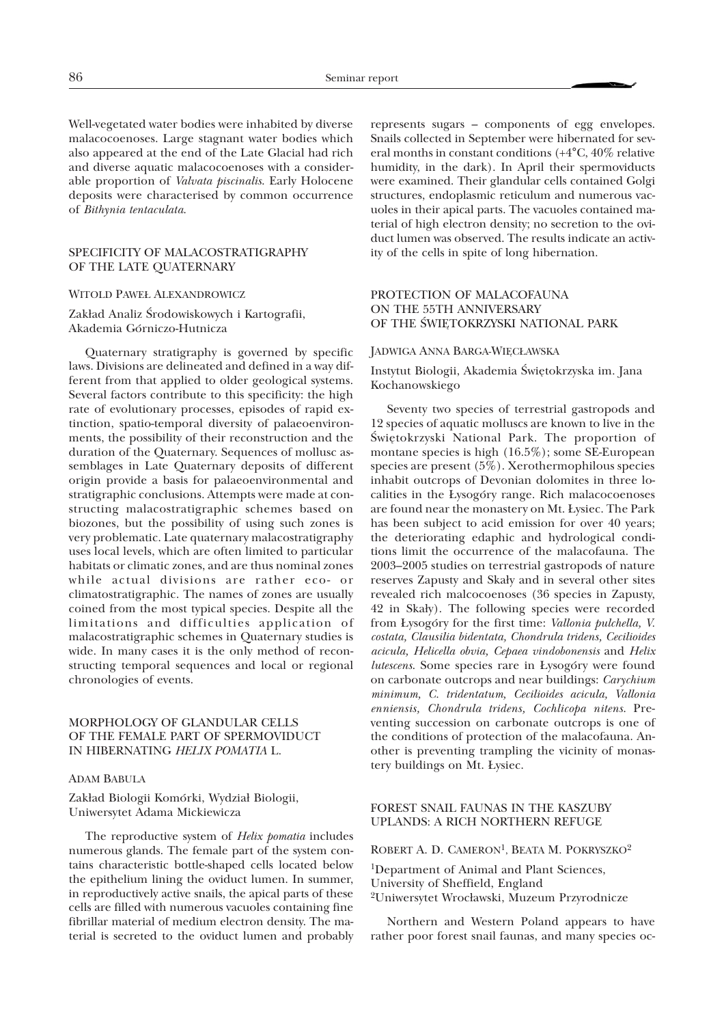Well-vegetated water bodies were inhabited by diverse malacocoenoses. Large stagnant water bodies which also appeared at the end of the Late Glacial had rich and diverse aquatic malacocoenoses with a considerable proportion of *Valvata piscinalis*. Early Holocene deposits were characterised by common occurrence of *Bithynia tentaculata*.

### SPECIFICITY OF MALACOSTRATIGRAPHY OF THE LATE QUATERNARY

#### WITOLD PAWE£ ALEXANDROWICZ

### Zakład Analiz Środowiskowych i Kartografii, Akademia Górniczo-Hutnicza

Quaternary stratigraphy is governed by specific laws. Divisions are delineated and defined in a way different from that applied to older geological systems. Several factors contribute to this specificity: the high rate of evolutionary processes, episodes of rapid extinction, spatio-temporal diversity of palaeoenvironments, the possibility of their reconstruction and the duration of the Quaternary. Sequences of mollusc assemblages in Late Quaternary deposits of different origin provide a basis for palaeoenvironmental and stratigraphic conclusions. Attempts were made at constructing malacostratigraphic schemes based on biozones, but the possibility of using such zones is very problematic. Late quaternary malacostratigraphy uses local levels, which are often limited to particular habitats or climatic zones, and are thus nominal zones while actual divisions are rather eco- or climatostratigraphic. The names of zones are usually coined from the most typical species. Despite all the limitations and difficulties application of malacostratigraphic schemes in Quaternary studies is wide. In many cases it is the only method of reconstructing temporal sequences and local or regional chronologies of events.

### MORPHOLOGY OF GLANDULAR CELLS OF THE FEMALE PART OF SPERMOVIDUCT IN HIBERNATING *HELIX POMATIA* L.

#### ADAM BABULA

Zakład Biologii Komórki, Wydział Biologii, Uniwersytet Adama Mickiewicza

The reproductive system of *Helix pomatia* includes numerous glands. The female part of the system contains characteristic bottle-shaped cells located below the epithelium lining the oviduct lumen. In summer, in reproductively active snails, the apical parts of these cells are filled with numerous vacuoles containing fine fibrillar material of medium electron density. The material is secreted to the oviduct lumen and probably

represents sugars – components of egg envelopes. Snails collected in September were hibernated for several months in constant conditions (+4°C, 40% relative humidity, in the dark). In April their spermoviducts were examined. Their glandular cells contained Golgi structures, endoplasmic reticulum and numerous vacuoles in their apical parts. The vacuoles contained material of high electron density; no secretion to the oviduct lumen was observed. The results indicate an activity of the cells in spite of long hibernation.

### PROTECTION OF MALACOFAUNA ON THE 55TH ANNIVERSARY OF THE ŚWIETOKRZYSKI NATIONAL PARK

#### JADWIGA ANNA BARGA-WIĘCŁAWSKA

Instytut Biologii, Akademia Œwiêtokrzyska im. Jana Kochanowskiego

Seventy two species of terrestrial gastropods and 12 species of aquatic molluscs are known to live in the Świętokrzyski National Park. The proportion of montane species is high (16.5%); some SE-European species are present (5%). Xerothermophilous species inhabit outcrops of Devonian dolomites in three localities in the £ysogóry range. Rich malacocoenoses are found near the monastery on Mt. £ysiec. The Park has been subject to acid emission for over 40 years; the deteriorating edaphic and hydrological conditions limit the occurrence of the malacofauna. The 2003–2005 studies on terrestrial gastropods of nature reserves Zapusty and Skały and in several other sites revealed rich malcocoenoses (36 species in Zapusty, 42 in Skały). The following species were recorded from £ysogóry for the first time: *Vallonia pulchella, V. costata, Clausilia bidentata, Chondrula tridens, Cecilioides acicula, Helicella obvia, Cepaea vindobonensis* and *Helix lutescens*. Some species rare in £ysogóry were found on carbonate outcrops and near buildings: *Carychium minimum, C. tridentatum, Cecilioides acicula, Vallonia enniensis, Chondrula tridens, Cochlicopa nitens*. Preventing succession on carbonate outcrops is one of the conditions of protection of the malacofauna. Another is preventing trampling the vicinity of monastery buildings on Mt. £ysiec.

# FOREST SNAIL FAUNAS IN THE KASZUBY UPLANDS: A RICH NORTHERN REFUGE

ROBERT A. D. CAMERON<sup>1</sup>, BEATA M. POKRYSZKO<sup>2</sup>

1Department of Animal and Plant Sciences, University of Sheffield, England <sup>2</sup>Uniwersytet Wrocławski, Muzeum Przyrodnicze

Northern and Western Poland appears to have rather poor forest snail faunas, and many species oc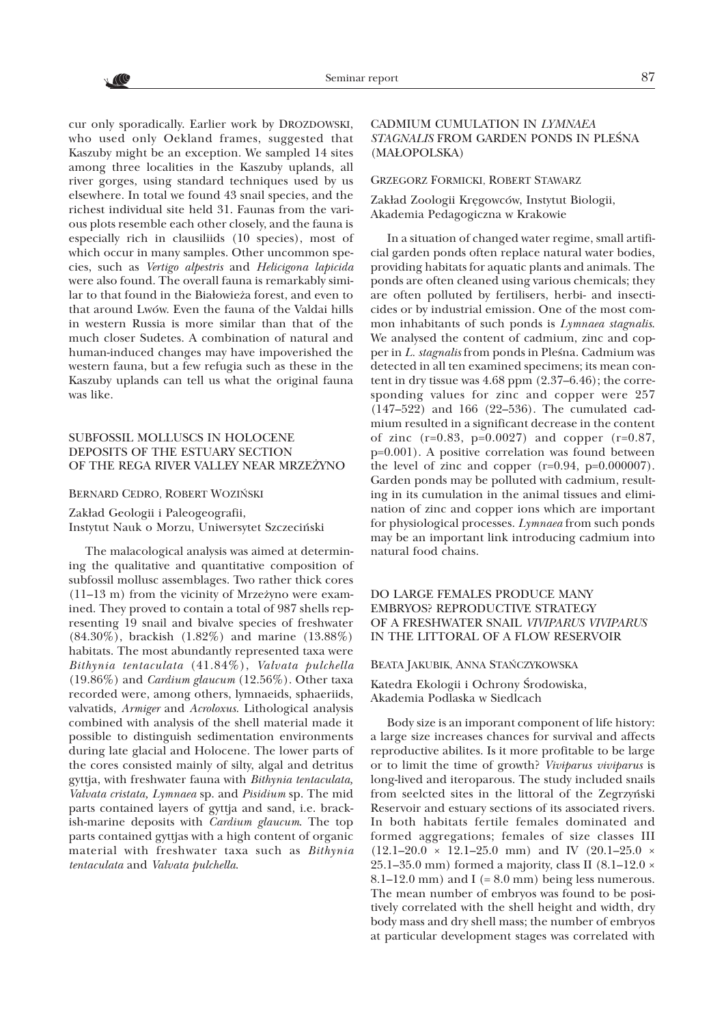$\sqrt{6}$ 

cur only sporadically. Earlier work by DROZDOWSKI, who used only Oekland frames, suggested that Kaszuby might be an exception. We sampled 14 sites among three localities in the Kaszuby uplands, all river gorges, using standard techniques used by us elsewhere. In total we found 43 snail species, and the richest individual site held 31. Faunas from the various plots resemble each other closely, and the fauna is especially rich in clausiliids (10 species), most of which occur in many samples. Other uncommon species, such as *Vertigo alpestris* and *Helicigona lapicida* were also found. The overall fauna is remarkably similar to that found in the Białowieża forest, and even to that around Lwów. Even the fauna of the Valdai hills in western Russia is more similar than that of the much closer Sudetes. A combination of natural and human-induced changes may have impoverished the western fauna, but a few refugia such as these in the Kaszuby uplands can tell us what the original fauna was like.

# SUBFOSSIL MOLLUSCS IN HOLOCENE DEPOSITS OF THE ESTUARY SECTION OF THE REGA RIVER VALLEY NEAR MRZEŻYNO

#### BERNARD CEDRO, ROBERT WOZIÑSKI

Zakład Geologii i Paleogeografii, Instytut Nauk o Morzu, Uniwersytet Szczeciñski

The malacological analysis was aimed at determining the qualitative and quantitative composition of subfossil mollusc assemblages. Two rather thick cores  $(11-13 \text{ m})$  from the vicinity of Mrzeżyno were examined. They proved to contain a total of 987 shells representing 19 snail and bivalve species of freshwater (84.30%), brackish (1.82%) and marine (13.88%) habitats. The most abundantly represented taxa were *Bithynia tentaculata* (41.84%), *Valvata pulchella* (19.86%) and *Cardium glaucum* (12.56%). Other taxa recorded were, among others, lymnaeids, sphaeriids, valvatids, *Armiger* and *Acroloxus*. Lithological analysis combined with analysis of the shell material made it possible to distinguish sedimentation environments during late glacial and Holocene. The lower parts of the cores consisted mainly of silty, algal and detritus gyttja, with freshwater fauna with *Bithynia tentaculata, Valvata cristata, Lymnaea* sp. and *Pisidium* sp. The mid parts contained layers of gyttja and sand, i.e. brackish-marine deposits with *Cardium glaucum*. The top parts contained gyttjas with a high content of organic material with freshwater taxa such as *Bithynia tentaculata* and *Valvata pulchella*.

# CADMIUM CUMULATION IN *LYMNAEA* **STAGNALIS FROM GARDEN PONDS IN PLEŚNA** (MA£OPOLSKA)

#### GRZEGORZ FORMICKI, ROBERT STAWARZ

Zakład Zoologii Kręgowców, Instytut Biologii, Akademia Pedagogiczna w Krakowie

In a situation of changed water regime, small artificial garden ponds often replace natural water bodies, providing habitats for aquatic plants and animals. The ponds are often cleaned using various chemicals; they are often polluted by fertilisers, herbi- and insecticides or by industrial emission. One of the most common inhabitants of such ponds is *Lymnaea stagnalis*. We analysed the content of cadmium, zinc and copper in *L. stagnalis* from ponds in Pleśna. Cadmium was detected in all ten examined specimens; its mean content in dry tissue was 4.68 ppm (2.37–6.46); the corresponding values for zinc and copper were 257 (147–522) and 166 (22–536). The cumulated cadmium resulted in a significant decrease in the content of zinc (r=0.83, p=0.0027) and copper (r=0.87, p=0.001). A positive correlation was found between the level of zinc and copper  $(r=0.94, p=0.000007)$ . Garden ponds may be polluted with cadmium, resulting in its cumulation in the animal tissues and elimination of zinc and copper ions which are important for physiological processes. *Lymnaea* from such ponds may be an important link introducing cadmium into natural food chains.

# DO LARGE FEMALES PRODUCE MANY EMBRYOS? REPRODUCTIVE STRATEGY OF A FRESHWATER SNAIL *VIVIPARUS VIVIPARUS* IN THE LITTORAL OF A FLOW RESERVOIR

### BEATA JAKUBIK, ANNA STAÑCZYKOWSKA

Katedra Ekologii i Ochrony Środowiska, Akademia Podlaska w Siedlcach

Body size is an imporant component of life history: a large size increases chances for survival and affects reproductive abilites. Is it more profitable to be large or to limit the time of growth? *Viviparus viviparus* is long-lived and iteroparous. The study included snails from seelcted sites in the littoral of the Zegrzyñski Reservoir and estuary sections of its associated rivers. In both habitats fertile females dominated and formed aggregations; females of size classes III  $(12.1-20.0 \times 12.1-25.0 \text{ mm})$  and IV  $(20.1-25.0 \times 12.1-20.0 \times 12.1)$ 25.1–35.0 mm) formed a majority, class II  $(8.1–12.0 \times$ 8.1–12.0 mm) and I  $(= 8.0 \text{ mm})$  being less numerous. The mean number of embryos was found to be positively correlated with the shell height and width, dry body mass and dry shell mass; the number of embryos at particular development stages was correlated with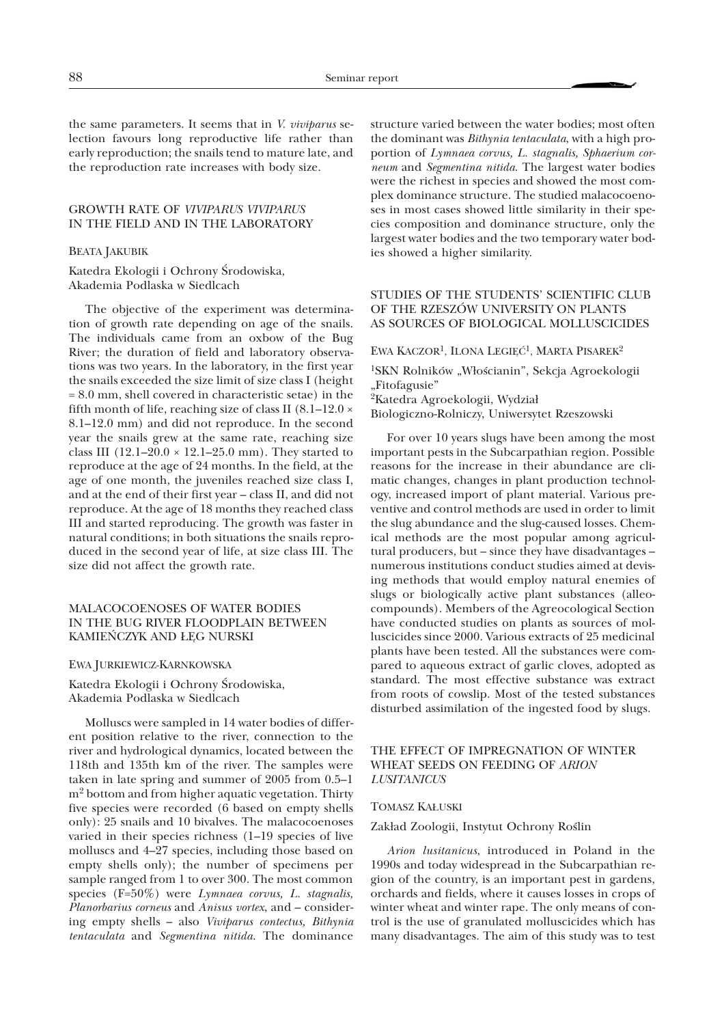the same parameters. It seems that in *V. viviparus* selection favours long reproductive life rather than early reproduction; the snails tend to mature late, and the reproduction rate increases with body size.

# GROWTH RATE OF *VIVIPARUS VIVIPARUS* IN THE FIELD AND IN THE LABORATORY

#### BEATA JAKUBIK

Katedra Ekologii i Ochrony Środowiska, Akademia Podlaska w Siedlcach

The objective of the experiment was determination of growth rate depending on age of the snails. The individuals came from an oxbow of the Bug River; the duration of field and laboratory observations was two years. In the laboratory, in the first year the snails exceeded the size limit of size class I (height = 8.0 mm, shell covered in characteristic setae) in the fifth month of life, reaching size of class II  $(8.1-12.0 \times$ 8.1–12.0 mm) and did not reproduce. In the second year the snails grew at the same rate, reaching size class III  $(12.1–20.0 \times 12.1–25.0 \text{ mm})$ . They started to reproduce at the age of 24 months. In the field, at the age of one month, the juveniles reached size class I, and at the end of their first year – class II, and did not reproduce. At the age of 18 months they reached class III and started reproducing. The growth was faster in natural conditions; in both situations the snails reproduced in the second year of life, at size class III. The size did not affect the growth rate.

# MALACOCOENOSES OF WATER BODIES IN THE BUG RIVER FLOODPLAIN BETWEEN KAMIEÑCZYK AND £ÊG NURSKI

#### EWA JURKIEWICZ-KARNKOWSKA

Katedra Ekologii i Ochrony Środowiska, Akademia Podlaska w Siedlcach

Molluscs were sampled in 14 water bodies of different position relative to the river, connection to the river and hydrological dynamics, located between the 118th and 135th km of the river. The samples were taken in late spring and summer of 2005 from 0.5–1 m2 bottom and from higher aquatic vegetation. Thirty five species were recorded (6 based on empty shells only): 25 snails and 10 bivalves. The malacocoenoses varied in their species richness (1–19 species of live molluscs and 4–27 species, including those based on empty shells only); the number of specimens per sample ranged from 1 to over 300. The most common species (F=50%) were *Lymnaea corvus, L. stagnalis, Planorbarius corneus* and *Anisus vortex*, and – considering empty shells – also *Viviparus contectus, Bithynia tentaculata* and *Segmentina nitida*. The dominance

structure varied between the water bodies; most often the dominant was *Bithynia tentaculata*, with a high proportion of *Lymnaea corvus, L. stagnalis, Sphaerium corneum* and *Segmentina nitida*. The largest water bodies were the richest in species and showed the most complex dominance structure. The studied malacocoenoses in most cases showed little similarity in their species composition and dominance structure, only the largest water bodies and the two temporary water bodies showed a higher similarity.

# STUDIES OF THE STUDENTS' SCIENTIFIC CLUB OF THE RZESZÓW UNIVERSITY ON PLANTS AS SOURCES OF BIOLOGICAL MOLLUSCICIDES

EWA KACZOR<sup>1</sup>, ILONA LEGIĘĆ<sup>1</sup>, MARTA PISAREK<sup>2</sup>

<sup>1</sup>SKN Rolników "Włościanin", Sekcja Agroekologii "Fitofagusie" <sup>2</sup>Katedra Agroekologii, Wydział

Biologiczno-Rolniczy, Uniwersytet Rzeszowski

For over 10 years slugs have been among the most important pests in the Subcarpathian region. Possible reasons for the increase in their abundance are climatic changes, changes in plant production technology, increased import of plant material. Various preventive and control methods are used in order to limit the slug abundance and the slug-caused losses. Chemical methods are the most popular among agricultural producers, but – since they have disadvantages – numerous institutions conduct studies aimed at devising methods that would employ natural enemies of slugs or biologically active plant substances (alleocompounds). Members of the Agreocological Section have conducted studies on plants as sources of molluscicides since 2000. Various extracts of 25 medicinal plants have been tested. All the substances were compared to aqueous extract of garlic cloves, adopted as standard. The most effective substance was extract from roots of cowslip. Most of the tested substances disturbed assimilation of the ingested food by slugs.

### THE EFFECT OF IMPREGNATION OF WINTER WHEAT SEEDS ON FEEDING OF *ARION LUSITANICUS*

#### TOMASZ KA£USKI

#### Zakład Zoologii, Instytut Ochrony Roślin

*Arion lusitanicus*, introduced in Poland in the 1990s and today widespread in the Subcarpathian region of the country, is an important pest in gardens, orchards and fields, where it causes losses in crops of winter wheat and winter rape. The only means of control is the use of granulated molluscicides which has many disadvantages. The aim of this study was to test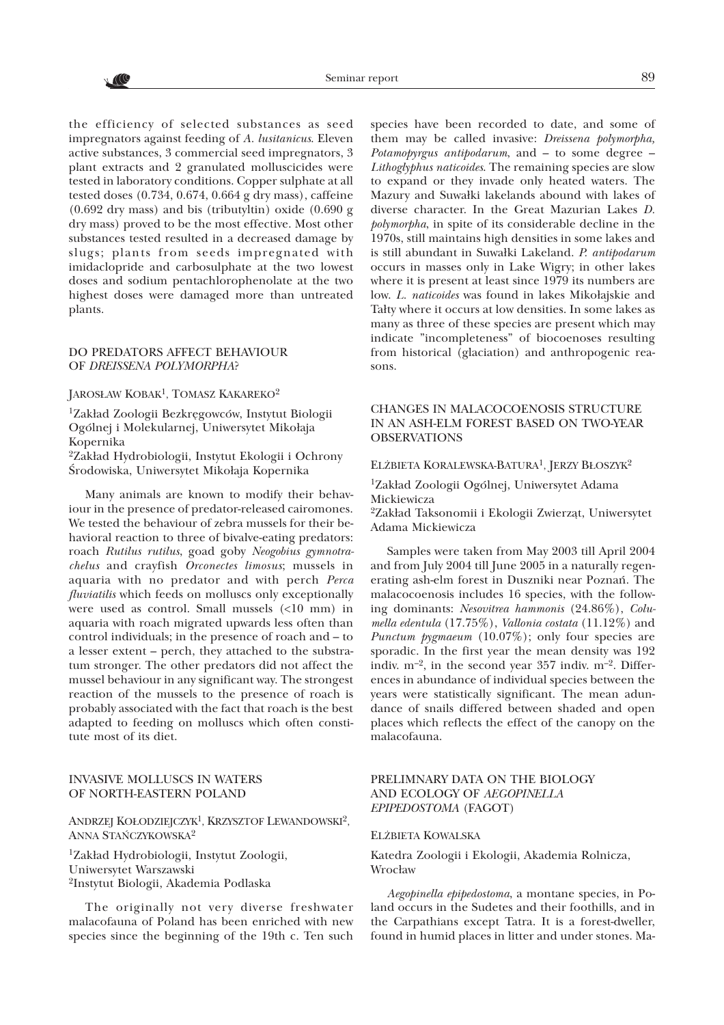the efficiency of selected substances as seed impregnators against feeding of *A. lusitanicus*. Eleven active substances, 3 commercial seed impregnators, 3 plant extracts and 2 granulated molluscicides were tested in laboratory conditions. Copper sulphate at all tested doses (0.734, 0.674, 0.664 g dry mass), caffeine (0.692 dry mass) and bis (tributyltin) oxide (0.690 g dry mass) proved to be the most effective. Most other substances tested resulted in a decreased damage by slugs; plants from seeds impregnated with imidaclopride and carbosulphate at the two lowest doses and sodium pentachlorophenolate at the two highest doses were damaged more than untreated plants.

# DO PREDATORS AFFECT BEHAVIOUR OF *DREISSENA POLYMORPHA*?

V (C

### JAROSŁAW KOBAK<sup>1</sup>, TOMASZ KAKAREKO<sup>2</sup>

<sup>1</sup>Zakład Zoologii Bezkręgowców, Instytut Biologii Ogólnej i Molekularnej, Uniwersytet Mikołaja Kopernika

<sup>2</sup>Zakład Hydrobiologii, Instytut Ekologii i Ochrony Środowiska, Uniwersytet Mikołaja Kopernika

Many animals are known to modify their behaviour in the presence of predator-released cairomones. We tested the behaviour of zebra mussels for their behavioral reaction to three of bivalve-eating predators: roach *Rutilus rutilus*, goad goby *Neogobius gymnotrachelus* and crayfish *Orconectes limosus*; mussels in aquaria with no predator and with perch *Perca fluviatilis* which feeds on molluscs only exceptionally were used as control. Small mussels (<10 mm) in aquaria with roach migrated upwards less often than control individuals; in the presence of roach and – to a lesser extent – perch, they attached to the substratum stronger. The other predators did not affect the mussel behaviour in any significant way. The strongest reaction of the mussels to the presence of roach is probably associated with the fact that roach is the best adapted to feeding on molluscs which often constitute most of its diet.

# INVASIVE MOLLUSCS IN WATERS OF NORTH-EASTERN POLAND

ANDRZEJ KO£ODZIEJCZYK1, KRZYSZTOF LEWANDOWSKI2, ANNA STAÑCZYKOWSKA2

<sup>1</sup>Zakład Hydrobiologii, Instytut Zoologii, Uniwersytet Warszawski 2Instytut Biologii, Akademia Podlaska

The originally not very diverse freshwater malacofauna of Poland has been enriched with new species since the beginning of the 19th c. Ten such species have been recorded to date, and some of them may be called invasive: *Dreissena polymorpha, Potamopyrgus antipodarum*, and – to some degree – *Lithoglyphus naticoides*. The remaining species are slow to expand or they invade only heated waters. The Mazury and Suwałki lakelands abound with lakes of diverse character. In the Great Mazurian Lakes *D. polymorpha*, in spite of its considerable decline in the 1970s, still maintains high densities in some lakes and is still abundant in Suwałki Lakeland. *P. antipodarum* occurs in masses only in Lake Wigry; in other lakes where it is present at least since 1979 its numbers are low. *L. naticoides* was found in lakes Mikołajskie and Talty where it occurs at low densities. In some lakes as many as three of these species are present which may indicate "incompleteness" of biocoenoses resulting from historical (glaciation) and anthropogenic reasons.

# CHANGES IN MALACOCOENOSIS STRUCTURE IN AN ASH-ELM FOREST BASED ON TWO-YEAR OBSERVATIONS

ELŻBIETA KORALEWSKA-BATURA<sup>1</sup>, JERZY BŁOSZYK<sup>2</sup>

<sup>1</sup>Zakład Zoologii Ogólnej, Uniwersytet Adama Mickiewicza

<sup>2</sup>Zakład Taksonomii i Ekologii Zwierząt, Uniwersytet Adama Mickiewicza

Samples were taken from May 2003 till April 2004 and from July 2004 till June 2005 in a naturally regenerating ash-elm forest in Duszniki near Poznañ. The malacocoenosis includes 16 species, with the following dominants: *Nesovitrea hammonis* (24.86%), *Columella edentula* (17.75%), *Vallonia costata* (11.12%) and *Punctum pygmaeum* (10.07%); only four species are sporadic. In the first year the mean density was 192 indiv.  $m^{-2}$ , in the second year 357 indiv.  $m^{-2}$ . Differences in abundance of individual species between the years were statistically significant. The mean adundance of snails differed between shaded and open places which reflects the effect of the canopy on the malacofauna.

# PRELIMNARY DATA ON THE BIOLOGY AND ECOLOGY OF *AEGOPINELLA EPIPEDOSTOMA* (FAGOT)

#### ELŻBIETA KOWALSKA

Katedra Zoologii i Ekologii, Akademia Rolnicza, Wrocław

*Aegopinella epipedostoma*, a montane species, in Poland occurs in the Sudetes and their foothills, and in the Carpathians except Tatra. It is a forest-dweller, found in humid places in litter and under stones. Ma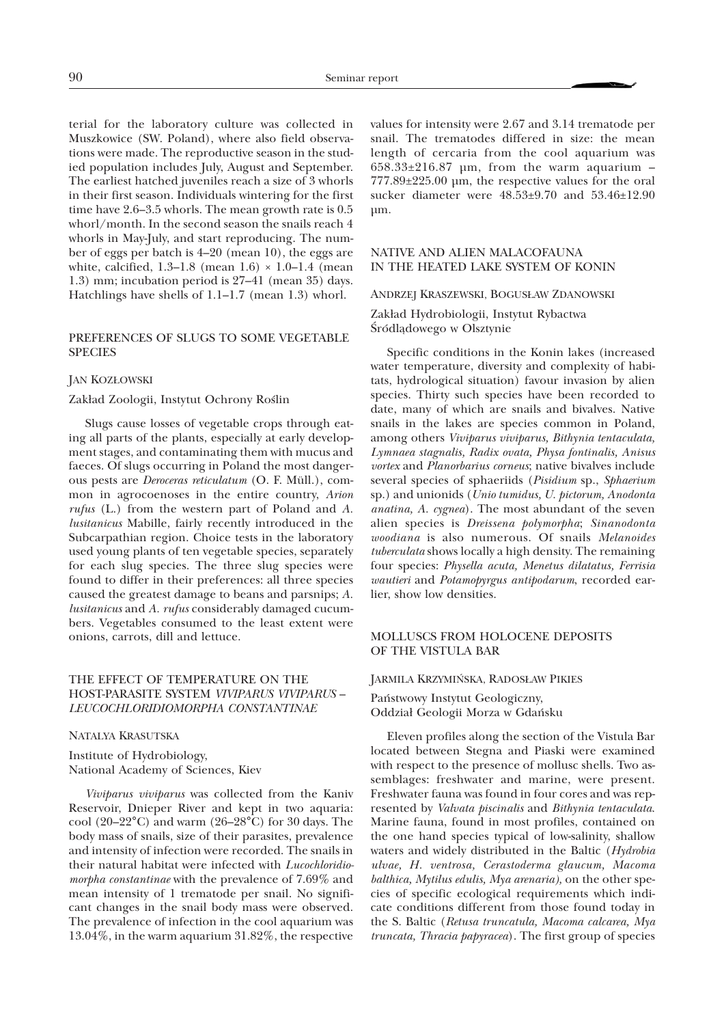terial for the laboratory culture was collected in Muszkowice (SW. Poland), where also field observations were made. The reproductive season in the studied population includes July, August and September. The earliest hatched juveniles reach a size of 3 whorls in their first season. Individuals wintering for the first time have 2.6–3.5 whorls. The mean growth rate is 0.5 whorl/month. In the second season the snails reach 4 whorls in May-July, and start reproducing. The number of eggs per batch is 4–20 (mean 10), the eggs are white, calcified, 1.3–1.8 (mean  $1.6$ )  $\times$  1.0–1.4 (mean 1.3) mm; incubation period is 27–41 (mean 35) days. Hatchlings have shells of 1.1–1.7 (mean 1.3) whorl.

# PREFERENCES OF SLUGS TO SOME VEGETABLE **SPECIES**

### JAN KOZ£OWSKI

#### Zakład Zoologii, Instytut Ochrony Roślin

Slugs cause losses of vegetable crops through eating all parts of the plants, especially at early development stages, and contaminating them with mucus and faeces. Of slugs occurring in Poland the most dangerous pests are *Deroceras reticulatum* (O. F. Müll.), common in agrocoenoses in the entire country, *Arion rufus* (L.) from the western part of Poland and *A. lusitanicus* Mabille, fairly recently introduced in the Subcarpathian region. Choice tests in the laboratory used young plants of ten vegetable species, separately for each slug species. The three slug species were found to differ in their preferences: all three species caused the greatest damage to beans and parsnips; *A. lusitanicus* and *A. rufus* considerably damaged cucumbers. Vegetables consumed to the least extent were onions, carrots, dill and lettuce.

## THE EFFECT OF TEMPERATURE ON THE HOST-PARASITE SYSTEM *VIVIPARUS VIVIPARUS* – *LEUCOCHLORIDIOMORPHA CONSTANTINAE*

#### NATALYA KRASUTSKA

Institute of Hydrobiology, National Academy of Sciences, Kiev

*Viviparus viviparus* was collected from the Kaniv Reservoir, Dnieper River and kept in two aquaria: cool (20–22°C) and warm (26–28°C) for 30 days. The body mass of snails, size of their parasites, prevalence and intensity of infection were recorded. The snails in their natural habitat were infected with *Lucochloridiomorpha constantinae* with the prevalence of 7.69% and mean intensity of 1 trematode per snail. No significant changes in the snail body mass were observed. The prevalence of infection in the cool aquarium was 13.04%, in the warm aquarium 31.82%, the respective values for intensity were 2.67 and 3.14 trematode per snail. The trematodes differed in size: the mean length of cercaria from the cool aquarium was  $658.33\pm216.87$  µm, from the warm aquarium – 777.89±225.00 µm, the respective values for the oral sucker diameter were 48.53±9.70 and 53.46±12.90 µm.

# NATIVE AND ALIEN MALACOFAUNA IN THE HEATED LAKE SYSTEM OF KONIN

#### ANDRZEJ KRASZEWSKI, BOGUS£AW ZDANOWSKI

Zakład Hydrobiologii, Instytut Rybactwa Śródlądowego w Olsztynie

Specific conditions in the Konin lakes (increased water temperature, diversity and complexity of habitats, hydrological situation) favour invasion by alien species. Thirty such species have been recorded to date, many of which are snails and bivalves. Native snails in the lakes are species common in Poland, among others *Viviparus viviparus, Bithynia tentaculata, Lymnaea stagnalis, Radix ovata, Physa fontinalis, Anisus vortex* and *Planorbarius corneus*; native bivalves include several species of sphaeriids (*Pisidium* sp., *Sphaerium* sp.) and unionids (*Unio tumidus, U. pictorum, Anodonta anatina, A. cygnea*). The most abundant of the seven alien species is *Dreissena polymorpha*; *Sinanodonta woodiana* is also numerous. Of snails *Melanoides tuberculata* shows locally a high density. The remaining four species: *Physella acuta, Menetus dilatatus, Ferrisia wautieri* and *Potamopyrgus antipodarum*, recorded earlier, show low densities.

# MOLLUSCS FROM HOLOCENE DEPOSITS OF THE VISTULA BAR

#### JARMILA KRZYMIÑSKA, RADOS£AW PIKIES

Pañstwowy Instytut Geologiczny, Oddzia³ Geologii Morza w Gdañsku

Eleven profiles along the section of the Vistula Bar located between Stegna and Piaski were examined with respect to the presence of mollusc shells. Two assemblages: freshwater and marine, were present. Freshwater fauna was found in four cores and was represented by *Valvata piscinalis* and *Bithynia tentaculata*. Marine fauna, found in most profiles, contained on the one hand species typical of low-salinity, shallow waters and widely distributed in the Baltic (*Hydrobia ulvae, H. ventrosa, Cerastoderma glaucum, Macoma balthica, Mytilus edulis, Mya arenaria),* on the other species of specific ecological requirements which indicate conditions different from those found today in the S. Baltic (*Retusa truncatula, Macoma calcarea, Mya truncata, Thracia papyracea*). The first group of species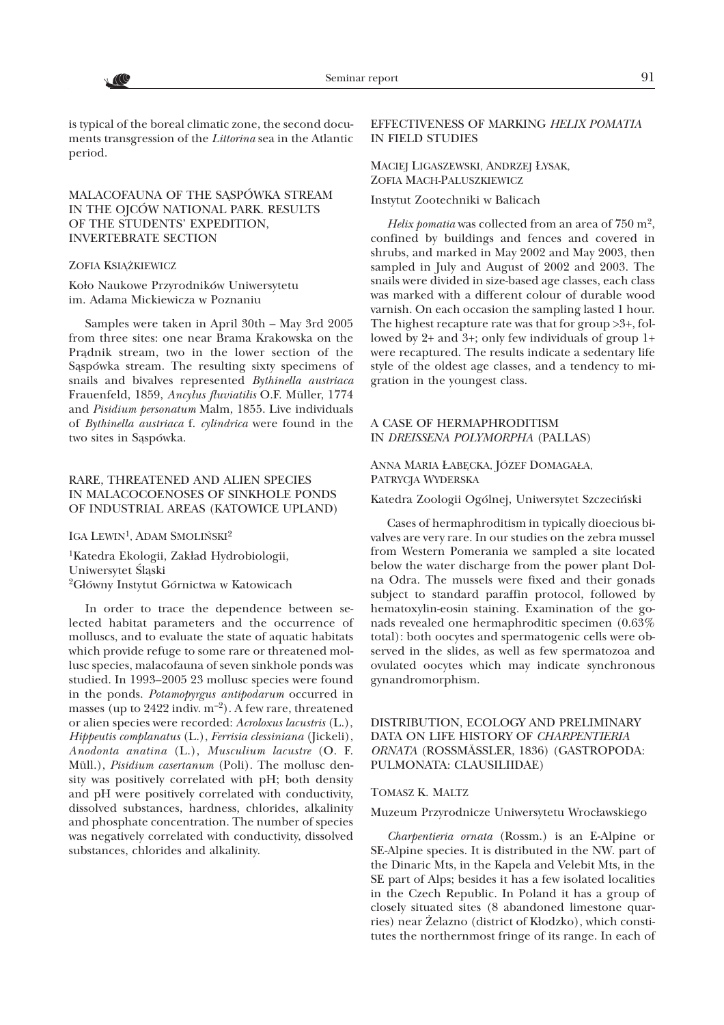is typical of the boreal climatic zone, the second documents transgression of the *Littorina* sea in the Atlantic period.

# MALACOFAUNA OF THE SASPÓWKA STREAM IN THE OJCÓW NATIONAL PARK. RESULTS OF THE STUDENTS' EXPEDITION, INVERTEBRATE SECTION

#### ZOFIA KSIĄŻKIEWICZ

Koło Naukowe Przyrodników Uniwersytetu im. Adama Mickiewicza w Poznaniu

Samples were taken in April 30th – May 3rd 2005 from three sites: one near Brama Krakowska on the Prądnik stream, two in the lower section of the Sąspówka stream. The resulting sixty specimens of snails and bivalves represented *Bythinella austriaca* Frauenfeld, 1859, *Ancylus fluviatilis* O.F. Müller, 1774 and *Pisidium personatum* Malm, 1855. Live individuals of *Bythinella austriaca* f. *cylindrica* were found in the two sites in Sąspówka.

### RARE, THREATENED AND ALIEN SPECIES IN MALACOCOENOSES OF SINKHOLE PONDS OF INDUSTRIAL AREAS (KATOWICE UPLAND)

IGA LEWIN<sup>1</sup>, ADAM SMOLIŃSKI<sup>2</sup>

<sup>1</sup>Katedra Ekologii, Zakład Hydrobiologii, Uniwersytet Ślaski <sup>2</sup>Główny Instytut Górnictwa w Katowicach

In order to trace the dependence between selected habitat parameters and the occurrence of molluscs, and to evaluate the state of aquatic habitats which provide refuge to some rare or threatened mollusc species, malacofauna of seven sinkhole ponds was studied. In 1993–2005 23 mollusc species were found in the ponds. *Potamopyrgus antipodarum* occurred in masses (up to  $2422$  indiv.  $m^{-2}$ ). A few rare, threatened or alien species were recorded: *Acroloxus lacustris* (L.), *Hippeutis complanatus* (L.), *Ferrisia clessiniana* (Jickeli), *Anodonta anatina* (L.), *Musculium lacustre* (O. F. Müll.), *Pisidium casertanum* (Poli). The mollusc density was positively correlated with pH; both density and pH were positively correlated with conductivity, dissolved substances, hardness, chlorides, alkalinity and phosphate concentration. The number of species was negatively correlated with conductivity, dissolved substances, chlorides and alkalinity.

### EFFECTIVENESS OF MARKING *HELIX POMATIA* IN FIELD STUDIES

MACIEJ LIGASZEWSKI, ANDRZEJ £YSAK, ZOFIA MACH-PALUSZKIEWICZ

Instytut Zootechniki w Balicach

*Helix pomatia* was collected from an area of 750 m<sup>2</sup>, confined by buildings and fences and covered in shrubs, and marked in May 2002 and May 2003, then sampled in July and August of 2002 and 2003. The snails were divided in size-based age classes, each class was marked with a different colour of durable wood varnish. On each occasion the sampling lasted 1 hour. The highest recapture rate was that for group >3+, followed by 2+ and 3+; only few individuals of group 1+ were recaptured. The results indicate a sedentary life style of the oldest age classes, and a tendency to migration in the youngest class.

## A CASE OF HERMAPHRODITISM IN *DREISSENA POLYMORPHA* (PALLAS)

ANNA MARIA ŁABĘCKA, JÓZEF DOMAGAŁA, PATRYCJA WYDERSKA

Katedra Zoologii Ogólnej, Uniwersytet Szczeciñski

Cases of hermaphroditism in typically dioecious bivalves are very rare. In our studies on the zebra mussel from Western Pomerania we sampled a site located below the water discharge from the power plant Dolna Odra. The mussels were fixed and their gonads subject to standard paraffin protocol, followed by hematoxylin-eosin staining. Examination of the gonads revealed one hermaphroditic specimen (0.63% total): both oocytes and spermatogenic cells were observed in the slides, as well as few spermatozoa and ovulated oocytes which may indicate synchronous gynandromorphism.

# DISTRIBUTION, ECOLOGY AND PRELIMINARY DATA ON LIFE HISTORY OF *CHARPENTIERIA ORNATA* (ROSSMÄSSLER, 1836) (GASTROPODA: PULMONATA: CLAUSILIIDAE)

#### TOMASZ K. MALTZ

Muzeum Przyrodnicze Uniwersytetu Wrocławskiego

*Charpentieria ornata* (Rossm.) is an E-Alpine or SE-Alpine species. It is distributed in the NW. part of the Dinaric Mts, in the Kapela and Velebit Mts, in the SE part of Alps; besides it has a few isolated localities in the Czech Republic. In Poland it has a group of closely situated sites (8 abandoned limestone quarries) near Żelazno (district of Kłodzko), which constitutes the northernmost fringe of its range. In each of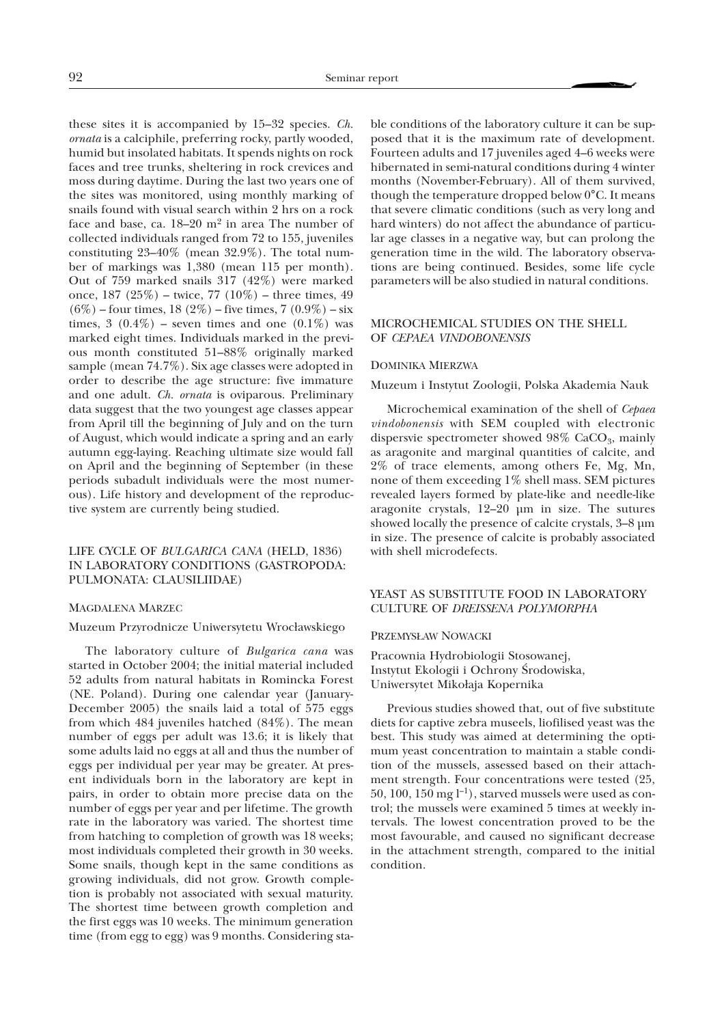these sites it is accompanied by 15–32 species. *Ch. ornata* is a calciphile, preferring rocky, partly wooded, humid but insolated habitats. It spends nights on rock faces and tree trunks, sheltering in rock crevices and moss during daytime. During the last two years one of the sites was monitored, using monthly marking of snails found with visual search within 2 hrs on a rock face and base, ca.  $18-20$  m<sup>2</sup> in area The number of collected individuals ranged from 72 to 155, juveniles constituting 23–40% (mean 32.9%). The total number of markings was 1,380 (mean 115 per month). Out of 759 marked snails 317 (42%) were marked once,  $187 (25\%)$  – twice,  $77 (10\%)$  – three times,  $49$  $(6\%)$  – four times, 18 (2%) – five times, 7 (0.9%) – six times, 3 (0.4%) – seven times and one (0.1%) was marked eight times. Individuals marked in the previous month constituted 51–88% originally marked sample (mean 74.7%). Six age classes were adopted in order to describe the age structure: five immature and one adult. *Ch. ornata* is oviparous. Preliminary data suggest that the two youngest age classes appear from April till the beginning of July and on the turn of August, which would indicate a spring and an early autumn egg-laying. Reaching ultimate size would fall on April and the beginning of September (in these periods subadult individuals were the most numerous). Life history and development of the reproductive system are currently being studied.

# LIFE CYCLE OF *BULGARICA CANA* (HELD, 1836) IN LABORATORY CONDITIONS (GASTROPODA: PULMONATA: CLAUSILIIDAE)

#### MAGDALENA MARZEC

#### Muzeum Przyrodnicze Uniwersytetu Wrocławskiego

The laboratory culture of *Bulgarica cana* was started in October 2004; the initial material included 52 adults from natural habitats in Romincka Forest (NE. Poland). During one calendar year (January-December 2005) the snails laid a total of 575 eggs from which 484 juveniles hatched (84%). The mean number of eggs per adult was 13.6; it is likely that some adults laid no eggs at all and thus the number of eggs per individual per year may be greater. At present individuals born in the laboratory are kept in pairs, in order to obtain more precise data on the number of eggs per year and per lifetime. The growth rate in the laboratory was varied. The shortest time from hatching to completion of growth was 18 weeks; most individuals completed their growth in 30 weeks. Some snails, though kept in the same conditions as growing individuals, did not grow. Growth completion is probably not associated with sexual maturity. The shortest time between growth completion and the first eggs was 10 weeks. The minimum generation time (from egg to egg) was 9 months. Considering sta-

ble conditions of the laboratory culture it can be supposed that it is the maximum rate of development. Fourteen adults and 17 juveniles aged 4–6 weeks were hibernated in semi-natural conditions during 4 winter months (November-February). All of them survived, though the temperature dropped below 0°C. It means that severe climatic conditions (such as very long and hard winters) do not affect the abundance of particular age classes in a negative way, but can prolong the generation time in the wild. The laboratory observations are being continued. Besides, some life cycle parameters will be also studied in natural conditions.

#### MICROCHEMICAL STUDIES ON THE SHELL OF *CEPAEA VINDOBONENSIS*

#### DOMINIKA MIERZWA

Muzeum i Instytut Zoologii, Polska Akademia Nauk

Microchemical examination of the shell of *Cepaea vindobonensis* with SEM coupled with electronic dispersvie spectrometer showed  $98\%$  CaCO<sub>3</sub>, mainly as aragonite and marginal quantities of calcite, and 2% of trace elements, among others Fe, Mg, Mn, none of them exceeding 1% shell mass. SEM pictures revealed layers formed by plate-like and needle-like aragonite crystals, 12–20 µm in size. The sutures showed locally the presence of calcite crystals, 3–8 µm in size. The presence of calcite is probably associated with shell microdefects.

# YEAST AS SUBSTITUTE FOOD IN LABORATORY CULTURE OF *DREISSENA POLYMORPHA*

#### PRZEMYS£AW NOWACKI

Pracownia Hydrobiologii Stosowanej, Instytut Ekologii i Ochrony Środowiska, Uniwersytet Mikołaja Kopernika

Previous studies showed that, out of five substitute diets for captive zebra museels, liofilised yeast was the best. This study was aimed at determining the optimum yeast concentration to maintain a stable condition of the mussels, assessed based on their attachment strength. Four concentrations were tested (25, 50, 100, 150 mg  $l^{-1}$ ), starved mussels were used as control; the mussels were examined 5 times at weekly intervals. The lowest concentration proved to be the most favourable, and caused no significant decrease in the attachment strength, compared to the initial condition.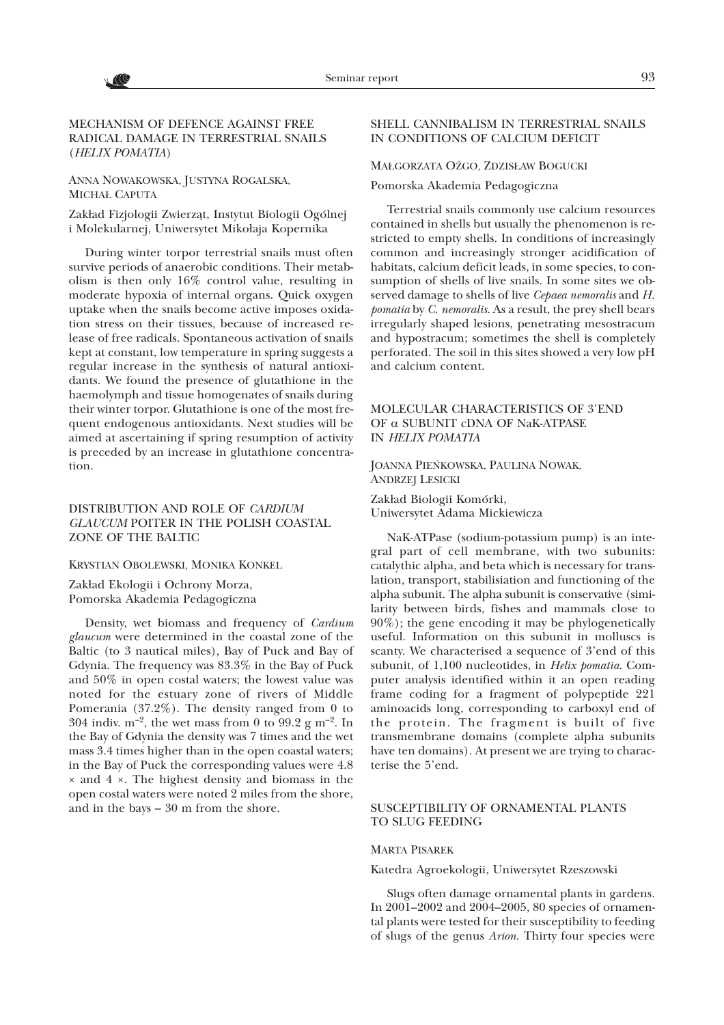# MECHANISM OF DEFENCE AGAINST FREE RADICAL DAMAGE IN TERRESTRIAL SNAILS (*HELIX POMATIA*)

ANNA NOWAKOWSKA, JUSTYNA ROGALSKA, MICHA£ CAPUTA

V (C

Zakład Fizjologii Zwierząt, Instytut Biologii Ogólnej i Molekularnej, Uniwersytet Mikołaja Kopernika

During winter torpor terrestrial snails must often survive periods of anaerobic conditions. Their metabolism is then only 16% control value, resulting in moderate hypoxia of internal organs. Quick oxygen uptake when the snails become active imposes oxidation stress on their tissues, because of increased release of free radicals. Spontaneous activation of snails kept at constant, low temperature in spring suggests a regular increase in the synthesis of natural antioxidants. We found the presence of glutathione in the haemolymph and tissue homogenates of snails during their winter torpor. Glutathione is one of the most frequent endogenous antioxidants. Next studies will be aimed at ascertaining if spring resumption of activity is preceded by an increase in glutathione concentration.

### DISTRIBUTION AND ROLE OF *CARDIUM GLAUCUM* POITER IN THE POLISH COASTAL ZONE OF THE BALTIC

KRYSTIAN OBOLEWSKI, MONIKA KONKEL

Zakład Ekologii i Ochrony Morza, Pomorska Akademia Pedagogiczna

Density, wet biomass and frequency of *Cardium glaucum* were determined in the coastal zone of the Baltic (to 3 nautical miles), Bay of Puck and Bay of Gdynia. The frequency was 83.3% in the Bay of Puck and 50% in open costal waters; the lowest value was noted for the estuary zone of rivers of Middle Pomerania (37.2%). The density ranged from 0 to 304 indiv.  $m^{-2}$ , the wet mass from 0 to 99.2 g  $m^{-2}$ . In the Bay of Gdynia the density was 7 times and the wet mass 3.4 times higher than in the open coastal waters; in the Bay of Puck the corresponding values were 4.8 × and 4 ×. The highest density and biomass in the open costal waters were noted 2 miles from the shore, and in the bays – 30 m from the shore.

### SHELL CANNIBALISM IN TERRESTRIAL SNAILS IN CONDITIONS OF CALCIUM DEFICIT

#### MAŁGORZATA OŻGO, ZDZISŁAW BOGUCKI

Pomorska Akademia Pedagogiczna

Terrestrial snails commonly use calcium resources contained in shells but usually the phenomenon is restricted to empty shells. In conditions of increasingly common and increasingly stronger acidification of habitats, calcium deficit leads, in some species, to consumption of shells of live snails. In some sites we observed damage to shells of live *Cepaea nemoralis* and *H. pomatia* by *C. nemoralis*. As a result, the prey shell bears irregularly shaped lesions, penetrating mesostracum and hypostracum; sometimes the shell is completely perforated. The soil in this sites showed a very low pH and calcium content.

# MOLECULAR CHARACTERISTICS OF 3'END OF a SUBUNIT cDNA OF NaK-ATPASE IN *HELIX POMATIA*

JOANNA PIEÑKOWSKA, PAULINA NOWAK, ANDRZEJ LESICKI

Zakład Biologii Komórki, Uniwersytet Adama Mickiewicza

NaK-ATPase (sodium-potassium pump) is an integral part of cell membrane, with two subunits: catalythic alpha, and beta which is necessary for translation, transport, stabilisiation and functioning of the alpha subunit. The alpha subunit is conservative (similarity between birds, fishes and mammals close to 90%); the gene encoding it may be phylogenetically useful. Information on this subunit in molluscs is scanty. We characterised a sequence of 3'end of this subunit, of 1,100 nucleotides, in *Helix pomatia*. Computer analysis identified within it an open reading frame coding for a fragment of polypeptide 221 aminoacids long, corresponding to carboxyl end of the protein. The fragment is built of five transmembrane domains (complete alpha subunits have ten domains). At present we are trying to characterise the 5'end.

# SUSCEPTIBILITY OF ORNAMENTAL PLANTS TO SLUG FEEDING

#### MARTA PISAREK

Katedra Agroekologii, Uniwersytet Rzeszowski

Slugs often damage ornamental plants in gardens. In 2001–2002 and 2004–2005, 80 species of ornamental plants were tested for their susceptibility to feeding of slugs of the genus *Arion*. Thirty four species were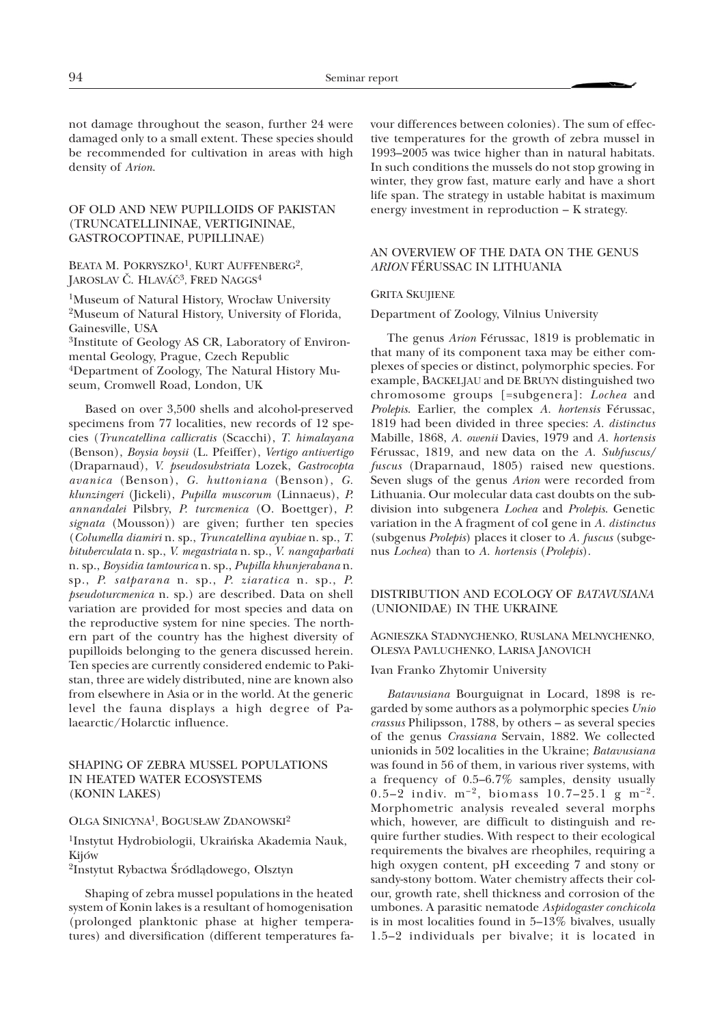not damage throughout the season, further 24 were damaged only to a small extent. These species should be recommended for cultivation in areas with high density of *Arion*.

# OF OLD AND NEW PUPILLOIDS OF PAKISTAN (TRUNCATELLININAE, VERTIGININAE, GASTROCOPTINAE, PUPILLINAE)

#### BEATA M. POKRYSZKO<sup>1</sup>, KURT AUFFENBERG<sup>2</sup>, JAROSLAV Č. HLAVÁČ<sup>3</sup>, FRED NAGGS<sup>4</sup>

<sup>1</sup>Museum of Natural History, Wrocław University 2Museum of Natural History, University of Florida, Gainesville, USA 3Institute of Geology AS CR, Laboratory of Environmental Geology, Prague, Czech Republic 4Department of Zoology, The Natural History Museum, Cromwell Road, London, UK

Based on over 3,500 shells and alcohol-preserved specimens from 77 localities, new records of 12 species (*Truncatellina callicratis* (Scacchi), *T. himalayana* (Benson), *Boysia boysii* (L. Pfeiffer), *Vertigo antivertigo* (Draparnaud), *V. pseudosubstriata* Lozek, *Gastrocopta avanica* (Benson), *G. huttoniana* (Benson), *G. klunzingeri* (Jickeli), *Pupilla muscorum* (Linnaeus), *P*. *annandalei* Pilsbry, *P. turcmenica* (O. Boettger), *P. signata* (Mousson)) are given; further ten species (*Columella diamiri* n. sp., *Truncatellina ayubiae* n. sp., *T. bituberculata* n. sp., *V*. *megastriata* n. sp., *V. nangaparbati* n. sp., *Boysidia tamtourica* n. sp., *Pupilla khunjerabana* n. sp., *P. satparana* n. sp., *P. ziaratica* n. sp., *P. pseudoturcmenica* n. sp.) are described. Data on shell variation are provided for most species and data on the reproductive system for nine species. The northern part of the country has the highest diversity of pupilloids belonging to the genera discussed herein. Ten species are currently considered endemic to Pakistan, three are widely distributed, nine are known also from elsewhere in Asia or in the world. At the generic level the fauna displays a high degree of Palaearctic/Holarctic influence.

# SHAPING OF ZEBRA MUSSEL POPULATIONS IN HEATED WATER ECOSYSTEMS (KONIN LAKES)

#### OLGA SINICYNA1, BOGUS£AW ZDANOWSKI2

1Instytut Hydrobiologii, Ukraiñska Akademia Nauk, Kijów

<sup>2</sup>Instytut Rybactwa Śródlądowego, Olsztyn

Shaping of zebra mussel populations in the heated system of Konin lakes is a resultant of homogenisation (prolonged planktonic phase at higher temperatures) and diversification (different temperatures favour differences between colonies). The sum of effective temperatures for the growth of zebra mussel in 1993–2005 was twice higher than in natural habitats. In such conditions the mussels do not stop growing in winter, they grow fast, mature early and have a short life span. The strategy in ustable habitat is maximum energy investment in reproduction – K strategy.

## AN OVERVIEW OF THE DATA ON THE GENUS *ARION* FÉRUSSAC IN LITHUANIA

### GRITA SKUJIENE

### Department of Zoology, Vilnius University

The genus *Arion* Férussac, 1819 is problematic in that many of its component taxa may be either complexes of species or distinct, polymorphic species. For example, BACKELJAU and DE BRUYN distinguished two chromosome groups [=subgenera]: *Lochea* and *Prolepis*. Earlier, the complex *A. hortensis* Férussac, 1819 had been divided in three species: *A. distinctus* Mabille, 1868, *A. owenii* Davies, 1979 and *A. hortensis* Férussac, 1819, and new data on the *A. Subfuscus/ fuscus* (Draparnaud, 1805) raised new questions. Seven slugs of the genus *Arion* were recorded from Lithuania. Our molecular data cast doubts on the subdivision into subgenera *Lochea* and *Prolepis*. Genetic variation in the A fragment of coI gene in *A. distinctus* (subgenus *Prolepis*) places it closer to *A. fuscus* (subgenus *Lochea*) than to *A. hortensis* (*Prolepis*).

### DISTRIBUTION AND ECOLOGY OF *BATAVUSIANA* (UNIONIDAE) IN THE UKRAINE

# AGNIESZKA STADNYCHENKO, RUSLANA MELNYCHENKO, OLESYA PAVLUCHENKO, LARISA JANOVICH

Ivan Franko Zhytomir University

*Batavusiana* Bourguignat in Locard, 1898 is regarded by some authors as a polymorphic species *Unio crassus* Philipsson, 1788, by others – as several species of the genus *Crassiana* Servain, 1882. We collected unionids in 502 localities in the Ukraine; *Batavusiana* was found in 56 of them, in various river systems, with a frequency of 0.5–6.7% samples, density usually 0.5–2 indiv.  $m^{-2}$ , biomass 10.7–25.1 g  $m^{-2}$ . Morphometric analysis revealed several morphs which, however, are difficult to distinguish and require further studies. With respect to their ecological requirements the bivalves are rheophiles, requiring a high oxygen content, pH exceeding 7 and stony or sandy-stony bottom. Water chemistry affects their colour, growth rate, shell thickness and corrosion of the umbones. A parasitic nematode *Aspidogaster conchicola* is in most localities found in 5–13% bivalves, usually 1.5–2 individuals per bivalve; it is located in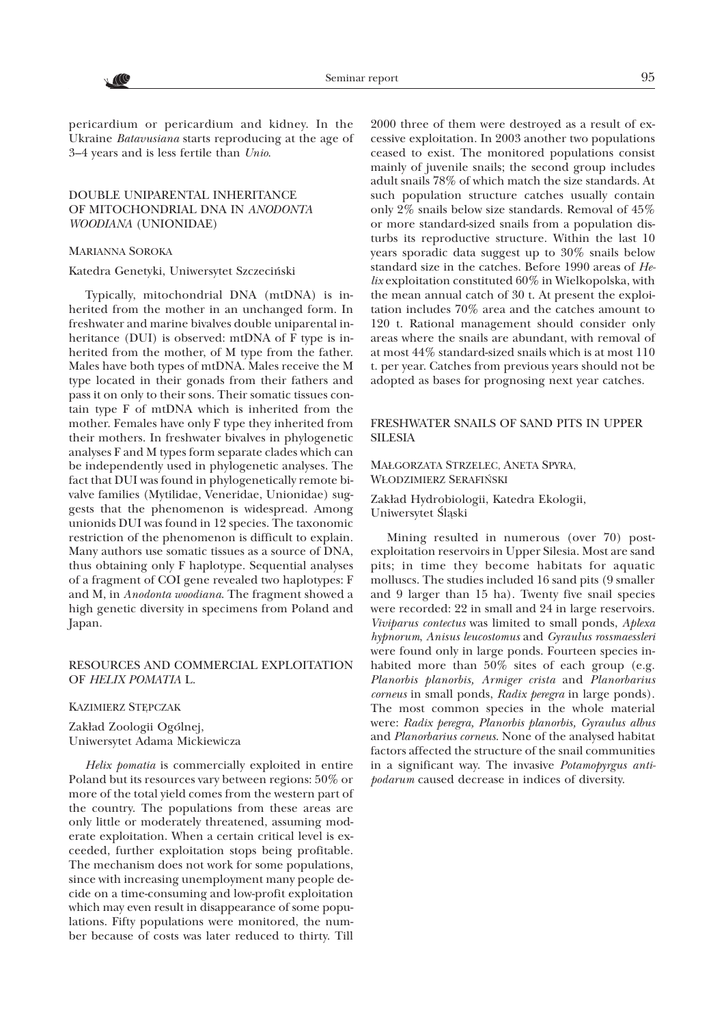pericardium or pericardium and kidney. In the Ukraine *Batavusiana* starts reproducing at the age of 3–4 years and is less fertile than *Unio*.

# DOUBLE UNIPARENTAL INHERITANCE OF MITOCHONDRIAL DNA IN *ANODONTA WOODIANA* (UNIONIDAE)

#### MARIANNA SOROKA

### Katedra Genetyki, Uniwersytet Szczeciñski

Typically, mitochondrial DNA (mtDNA) is inherited from the mother in an unchanged form. In freshwater and marine bivalves double uniparental inheritance (DUI) is observed: mtDNA of F type is inherited from the mother, of M type from the father. Males have both types of mtDNA. Males receive the M type located in their gonads from their fathers and pass it on only to their sons. Their somatic tissues contain type F of mtDNA which is inherited from the mother. Females have only F type they inherited from their mothers. In freshwater bivalves in phylogenetic analyses F and M types form separate clades which can be independently used in phylogenetic analyses. The fact that DUI was found in phylogenetically remote bivalve families (Mytilidae, Veneridae, Unionidae) suggests that the phenomenon is widespread. Among unionids DUI was found in 12 species. The taxonomic restriction of the phenomenon is difficult to explain. Many authors use somatic tissues as a source of DNA, thus obtaining only F haplotype. Sequential analyses of a fragment of COI gene revealed two haplotypes: F and M, in *Anodonta woodiana*. The fragment showed a high genetic diversity in specimens from Poland and Japan.

#### RESOURCES AND COMMERCIAL EXPLOITATION OF *HELIX POMATIA* L.

#### KAZIMIERZ STEPCZAK

Zakład Zoologii Ogólnej, Uniwersytet Adama Mickiewicza

*Helix pomatia* is commercially exploited in entire Poland but its resources vary between regions: 50% or more of the total yield comes from the western part of the country. The populations from these areas are only little or moderately threatened, assuming moderate exploitation. When a certain critical level is exceeded, further exploitation stops being profitable. The mechanism does not work for some populations, since with increasing unemployment many people decide on a time-consuming and low-profit exploitation which may even result in disappearance of some populations. Fifty populations were monitored, the number because of costs was later reduced to thirty. Till

2000 three of them were destroyed as a result of excessive exploitation. In 2003 another two populations ceased to exist. The monitored populations consist mainly of juvenile snails; the second group includes adult snails 78% of which match the size standards. At such population structure catches usually contain only 2% snails below size standards. Removal of 45% or more standard-sized snails from a population disturbs its reproductive structure. Within the last 10 years sporadic data suggest up to 30% snails below standard size in the catches. Before 1990 areas of *Helix* exploitation constituted 60% in Wielkopolska, with the mean annual catch of 30 t. At present the exploitation includes 70% area and the catches amount to 120 t. Rational management should consider only areas where the snails are abundant, with removal of at most 44% standard-sized snails which is at most 110 t. per year. Catches from previous years should not be adopted as bases for prognosing next year catches.

# FRESHWATER SNAILS OF SAND PITS IN UPPER **SILESIA**

# MA£GORZATA STRZELEC, ANETA SPYRA, W£ODZIMIERZ SERAFIÑSKI

Zakład Hydrobiologii, Katedra Ekologii, Uniwersytet Śląski

Mining resulted in numerous (over 70) postexploitation reservoirs in Upper Silesia. Most are sand pits; in time they become habitats for aquatic molluscs. The studies included 16 sand pits (9 smaller and 9 larger than 15 ha). Twenty five snail species were recorded: 22 in small and 24 in large reservoirs. *Viviparus contectus* was limited to small ponds, *Aplexa hypnorum*, *Anisus leucostomus* and *Gyraulus rossmaessleri* were found only in large ponds. Fourteen species inhabited more than 50% sites of each group (e.g. *Planorbis planorbis, Armiger crista* and *Planorbarius corneus* in small ponds, *Radix peregra* in large ponds). The most common species in the whole material were: *Radix peregra, Planorbis planorbis, Gyraulus albus* and *Planorbarius corneus*. None of the analysed habitat factors affected the structure of the snail communities in a significant way. The invasive *Potamopyrgus antipodarum* caused decrease in indices of diversity.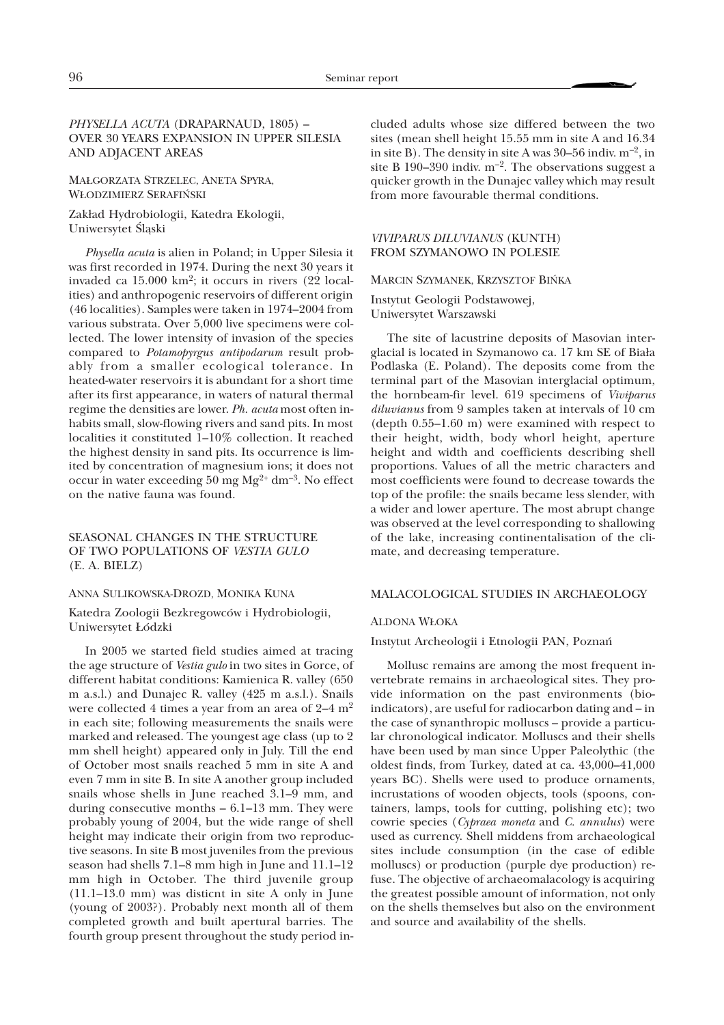# *PHYSELLA ACUTA* (DRAPARNAUD, 1805) – OVER 30 YEARS EXPANSION IN UPPER SILESIA AND ADJACENT AREAS

MA£GORZATA STRZELEC, ANETA SPYRA, W£ODZIMIERZ SERAFIÑSKI

Zakład Hydrobiologii, Katedra Ekologii, Uniwersytet Śląski

*Physella acuta* is alien in Poland; in Upper Silesia it was first recorded in 1974. During the next 30 years it invaded ca 15.000 km2; it occurs in rivers (22 localities) and anthropogenic reservoirs of different origin (46 localities). Samples were taken in 1974–2004 from various substrata. Over 5,000 live specimens were collected. The lower intensity of invasion of the species compared to *Potamopyrgus antipodarum* result probably from a smaller ecological tolerance. In heated-water reservoirs it is abundant for a short time after its first appearance, in waters of natural thermal regime the densities are lower. *Ph. acuta* most often inhabits small, slow-flowing rivers and sand pits. In most localities it constituted 1–10% collection. It reached the highest density in sand pits. Its occurrence is limited by concentration of magnesium ions; it does not occur in water exceeding 50 mg  $Mg^{2+}$  dm<sup>-3</sup>. No effect on the native fauna was found.

SEASONAL CHANGES IN THE STRUCTURE OF TWO POPULATIONS OF *VESTIA GULO* (E. A. BIELZ)

#### ANNA SULIKOWSKA-DROZD, MONIKA KUNA

Katedra Zoologii Bezkregowców i Hydrobiologii, Uniwersytet £ódzki

In 2005 we started field studies aimed at tracing the age structure of *Vestia gulo* in two sites in Gorce, of different habitat conditions: Kamienica R. valley (650 m a.s.l.) and Dunajec R. valley (425 m a.s.l.). Snails were collected 4 times a year from an area of 2–4 m2 in each site; following measurements the snails were marked and released. The youngest age class (up to 2 mm shell height) appeared only in July. Till the end of October most snails reached 5 mm in site A and even 7 mm in site B. In site A another group included snails whose shells in June reached 3.1–9 mm, and during consecutive months – 6.1–13 mm. They were probably young of 2004, but the wide range of shell height may indicate their origin from two reproductive seasons. In site B most juveniles from the previous season had shells 7.1–8 mm high in June and 11.1–12 mm high in October. The third juvenile group (11.1–13.0 mm) was disticnt in site A only in June (young of 2003?). Probably next month all of them completed growth and built apertural barries. The fourth group present throughout the study period in-

cluded adults whose size differed between the two sites (mean shell height 15.55 mm in site A and 16.34 in site B). The density in site A was 30–56 indiv.  $m^{-2}$ , in site B 190–390 indiv.  $m^{-2}$ . The observations suggest a quicker growth in the Dunajec valley which may result from more favourable thermal conditions.

#### *VIVIPARUS DILUVIANUS* (KUNTH) FROM SZYMANOWO IN POLESIE

#### MARCIN SZYMANEK, KRZYSZTOF BIŃKA

Instytut Geologii Podstawowej, Uniwersytet Warszawski

The site of lacustrine deposits of Masovian interglacial is located in Szymanowo ca. 17 km SE of Biała Podlaska (E. Poland). The deposits come from the terminal part of the Masovian interglacial optimum, the hornbeam-fir level. 619 specimens of *Viviparus diluvianus* from 9 samples taken at intervals of 10 cm (depth 0.55–1.60 m) were examined with respect to their height, width, body whorl height, aperture height and width and coefficients describing shell proportions. Values of all the metric characters and most coefficients were found to decrease towards the top of the profile: the snails became less slender, with a wider and lower aperture. The most abrupt change was observed at the level corresponding to shallowing of the lake, increasing continentalisation of the climate, and decreasing temperature.

#### MALACOLOGICAL STUDIES IN ARCHAEOLOGY

#### ALDONA W£OKA

Instytut Archeologii i Etnologii PAN, Poznañ

Mollusc remains are among the most frequent invertebrate remains in archaeological sites. They provide information on the past environments (bioindicators), are useful for radiocarbon dating and – in the case of synanthropic molluscs – provide a particular chronological indicator. Molluscs and their shells have been used by man since Upper Paleolythic (the oldest finds, from Turkey, dated at ca. 43,000–41,000 years BC). Shells were used to produce ornaments, incrustations of wooden objects, tools (spoons, containers, lamps, tools for cutting, polishing etc); two cowrie species (*Cypraea moneta* and *C. annulus*) were used as currency. Shell middens from archaeological sites include consumption (in the case of edible molluscs) or production (purple dye production) refuse. The objective of archaeomalacology is acquiring the greatest possible amount of information, not only on the shells themselves but also on the environment and source and availability of the shells.